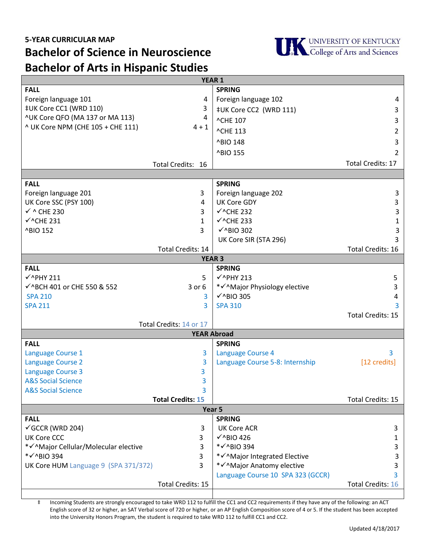

**Bachelor of Arts in Hispanic Studies**

| <b>YEAR 1</b>                                       |                          |                                        |                          |
|-----------------------------------------------------|--------------------------|----------------------------------------|--------------------------|
| <b>FALL</b>                                         |                          | <b>SPRING</b>                          |                          |
| Foreign language 101                                | 4                        | Foreign language 102                   | 4                        |
| ‡UK Core CC1 (WRD 110)                              | 3                        | ‡UK Core CC2 (WRD 111)                 | 3                        |
| ^UK Core QFO (MA 137 or MA 113)                     | 4                        | ^CHE 107                               | 3                        |
| ^ UK Core NPM (CHE 105 + CHE 111)                   | $4 + 1$                  | ^CHE 113                               | 2                        |
|                                                     |                          | ^BIO 148                               | 3                        |
|                                                     |                          | ^BIO 155                               | 2                        |
|                                                     |                          |                                        | <b>Total Credits: 17</b> |
|                                                     | Total Credits: 16        |                                        |                          |
| <b>SPRING</b><br><b>FALL</b>                        |                          |                                        |                          |
| Foreign language 201                                | 3                        | Foreign language 202                   | 3                        |
| UK Core SSC (PSY 100)                               | 4                        | <b>UK Core GDY</b>                     | 3                        |
| $\checkmark$ ^ CHE 230                              | 3                        | $\checkmark$ ^CHE 232                  | $\mathsf{3}$             |
| $\checkmark$ ^CHE 231                               | 1                        | $\checkmark$ ^CHE 233                  | $\mathbf{1}$             |
|                                                     | 3                        | $\checkmark$ ^BIO 302                  | 3                        |
| ^BIO 152                                            |                          |                                        | 3                        |
|                                                     |                          | UK Core SIR (STA 296)                  | <b>Total Credits: 16</b> |
|                                                     | <b>Total Credits: 14</b> |                                        |                          |
| <b>YEAR 3</b>                                       |                          |                                        |                          |
| <b>FALL</b><br>$\checkmark$ ^PHY 211                | 5                        | <b>SPRING</b><br>$\checkmark$ ^PHY 213 |                          |
|                                                     |                          |                                        | 5                        |
| √^BCH 401 or CHE 550 & 552                          | $3$ or $6$               | * v^Major Physiology elective          | 3                        |
| <b>SPA 210</b>                                      | 3                        | $\checkmark$ ^BIO 305                  | 4                        |
| <b>SPA 211</b>                                      | 3                        | <b>SPA 310</b>                         | 3                        |
| <b>Total Credits: 15</b><br>Total Credits: 14 or 17 |                          |                                        |                          |
| <b>YEAR Abroad</b>                                  |                          |                                        |                          |
| <b>FALL</b><br><b>SPRING</b>                        |                          |                                        |                          |
| Language Course 1                                   | 3                        | Language Course 4                      | 3                        |
| <b>Language Course 2</b>                            | 3                        | Language Course 5-8: Internship        | [12 credits]             |
| <b>Language Course 3</b>                            | 3                        |                                        |                          |
| <b>A&amp;S Social Science</b>                       | 3                        |                                        |                          |
| <b>A&amp;S Social Science</b>                       | 3                        |                                        |                          |
|                                                     | <b>Total Credits: 15</b> |                                        | Total Credits: 15        |
| Year 5                                              |                          |                                        |                          |
| <b>FALL</b><br><b>SPRING</b>                        |                          |                                        |                          |
| $\checkmark$ GCCR (WRD 204)                         | 3                        | <b>UK Core ACR</b>                     | 3                        |
| <b>UK Core CCC</b>                                  | 3                        | $\checkmark$ ^BIO 426                  | 1                        |
| *√^Major Cellular/Molecular elective                | 3                        | * V ^ BIO 394                          | 3                        |
| * V ^ BIO 394                                       | 3                        | * v^Major Integrated Elective          | 3                        |
| UK Core HUM Language 9 (SPA 371/372)                | 3                        | * V^Major Anatomy elective             | 3                        |
|                                                     |                          | Language Course 10 SPA 323 (GCCR)      | 3                        |
|                                                     | <b>Total Credits: 15</b> |                                        | <b>Total Credits: 16</b> |
|                                                     |                          |                                        |                          |

‡ Incoming Students are strongly encouraged to take WRD 112 to fulfill the CC1 and CC2 requirements if they have any of the following: an ACT English score of 32 or higher, an SAT Verbal score of 720 or higher, or an AP English Composition score of 4 or 5. If the student has been accepted into the University Honors Program, the student is required to take WRD 112 to fulfill CC1 and CC2.